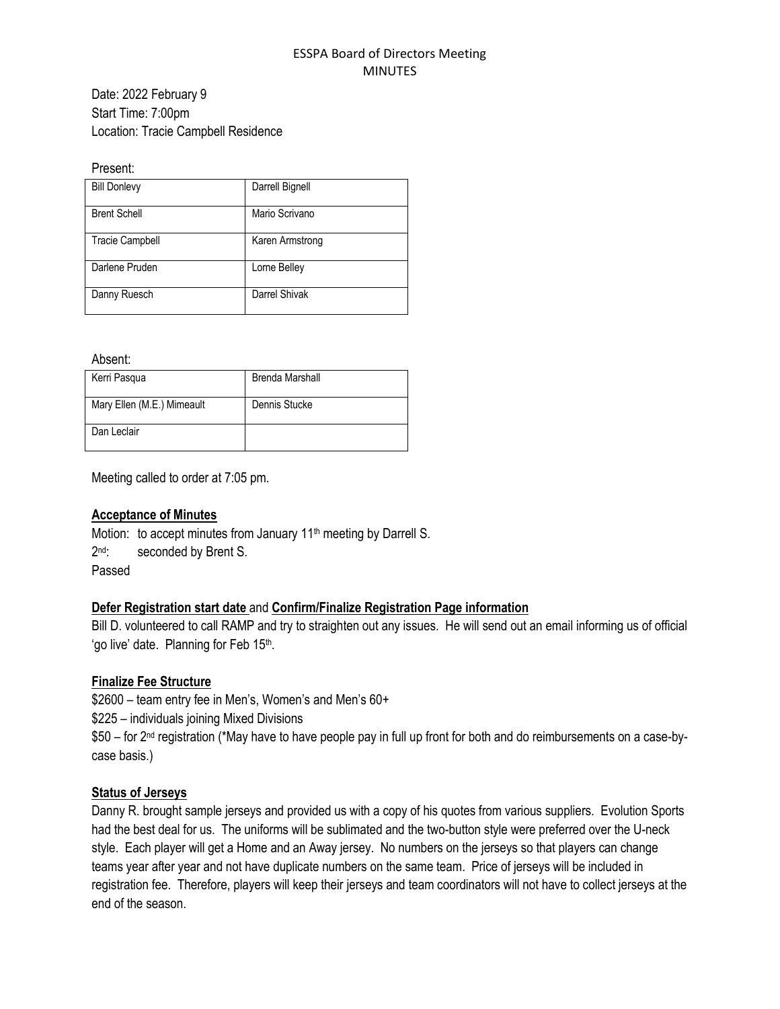#### ESSPA Board of Directors Meeting MINUTES

Date: 2022 February 9 Start Time: 7:00pm Location: Tracie Campbell Residence

#### Present:

| <b>Bill Donlevy</b>    | Darrell Bignell |
|------------------------|-----------------|
| <b>Brent Schell</b>    | Mario Scrivano  |
| <b>Tracie Campbell</b> | Karen Armstrong |
| Darlene Pruden         | Lorne Belley    |
| Danny Ruesch           | Darrel Shivak   |

Absent:

| Kerri Pasqua               | <b>Brenda Marshall</b> |
|----------------------------|------------------------|
| Mary Ellen (M.E.) Mimeault | Dennis Stucke          |
| Dan Leclair                |                        |

Meeting called to order at 7:05 pm.

### **Acceptance of Minutes**

Motion: to accept minutes from January 11<sup>th</sup> meeting by Darrell S.  $2<sup>nd</sup>$ : seconded by Brent S. Passed

### **Defer Registration start date** and **Confirm/Finalize Registration Page information**

Bill D. volunteered to call RAMP and try to straighten out any issues. He will send out an email informing us of official 'go live' date. Planning for Feb 15<sup>th</sup>.

### **Finalize Fee Structure**

\$2600 – team entry fee in Men's, Women's and Men's 60+ \$225 – individuals joining Mixed Divisions \$50 – for 2<sup>nd</sup> registration (\*May have to have people pay in full up front for both and do reimbursements on a case-bycase basis.)

### **Status of Jerseys**

Danny R. brought sample jerseys and provided us with a copy of his quotes from various suppliers. Evolution Sports had the best deal for us. The uniforms will be sublimated and the two-button style were preferred over the U-neck style. Each player will get a Home and an Away jersey. No numbers on the jerseys so that players can change teams year after year and not have duplicate numbers on the same team. Price of jerseys will be included in registration fee. Therefore, players will keep their jerseys and team coordinators will not have to collect jerseys at the end of the season.